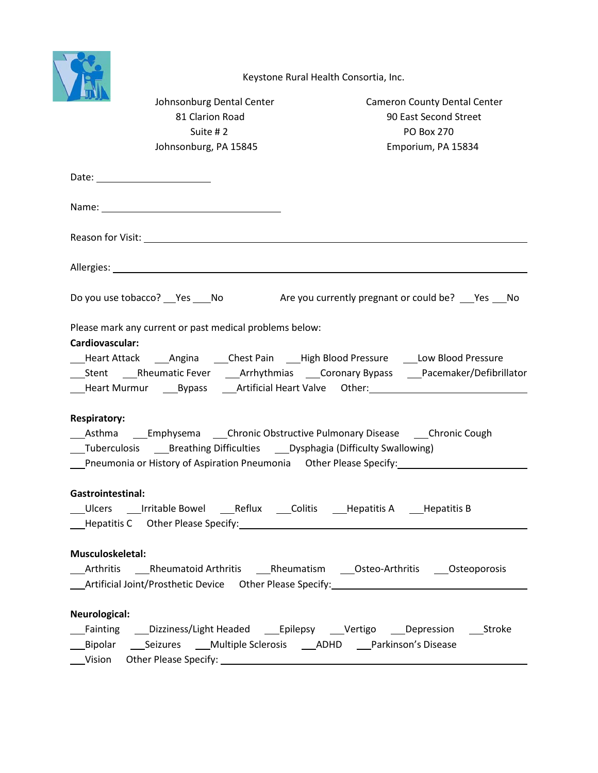

Keystone Rural Health Consortia, Inc.

| <b>AUSSI</b><br>Johnsonburg Dental Center<br>81 Clarion Road<br>Suite #2<br>Johnsonburg, PA 15845                                                                                                                                                                                   | <b>Cameron County Dental Center</b><br>90 East Second Street<br>PO Box 270<br>Emporium, PA 15834 |
|-------------------------------------------------------------------------------------------------------------------------------------------------------------------------------------------------------------------------------------------------------------------------------------|--------------------------------------------------------------------------------------------------|
| Date: __________________________                                                                                                                                                                                                                                                    |                                                                                                  |
|                                                                                                                                                                                                                                                                                     |                                                                                                  |
| Reason for Visit: New York Changes and Changes and Changes and Changes and Changes and Changes and Changes and                                                                                                                                                                      |                                                                                                  |
|                                                                                                                                                                                                                                                                                     |                                                                                                  |
| Do you use tobacco? Yes ___ No Are you currently pregnant or could be? __ Yes __ No                                                                                                                                                                                                 |                                                                                                  |
| Please mark any current or past medical problems below:<br>Cardiovascular:<br>Heart Attack _____ Angina _____ Chest Pain _____ High Blood Pressure ______Low Blood Pressure<br>____Stent ______Rheumatic Fever _______Arrhythmias _____Coronary Bypass _____Pacemaker/Defibrillator |                                                                                                  |
| <b>Respiratory:</b><br>__Tuberculosis _____Breathing Difficulties _____Dysphagia (Difficulty Swallowing)<br>Pneumonia or History of Aspiration Pneumonia Other Please Specify:                                                                                                      |                                                                                                  |
| <b>Gastrointestinal:</b><br>___Ulcers _____Irritable Bowel ________Reflux _____Colitis _____Hepatitis A _____Hepatitis B<br>Hepatitis C Other Please Specify:                                                                                                                       |                                                                                                  |
| Musculoskeletal:<br>Arthritis Rheumatoid Arthritis Rheumatism ___ Osteo-Arthritis ___ Osteoporosis<br>Artificial Joint/Prosthetic Device  Other Please Specify: ______________________                                                                                              |                                                                                                  |
| <b>Neurological:</b><br>Vision                                                                                                                                                                                                                                                      |                                                                                                  |